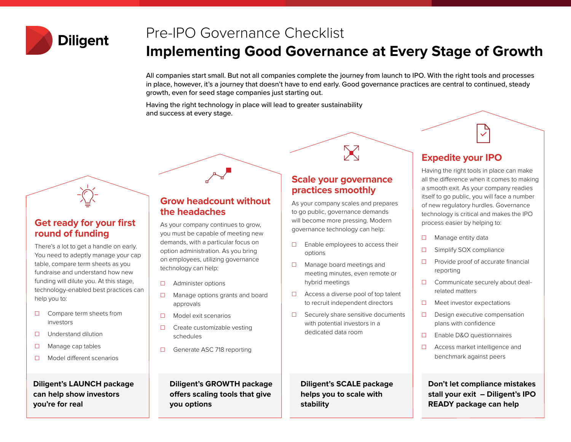

# Pre-IPO Governance Checklist

## **Implementing Good Governance at Every Stage of Growth**

All companies start small. But not all companies complete the journey from launch to IPO. With the right tools and processes in place, however, it's a journey that doesn't have to end early. Good governance practices are central to continued, steady growth, even for seed stage companies just starting out.

Having the right technology in place will lead to greater sustainability and success at every stage.



#### **Get ready for your first round of funding**

There's a lot to get a handle on early. You need to adeptly manage your cap table, compare term sheets as you fundraise and understand how new funding will dilute you. At this stage, technology-enabled best practices can help you to:

- ☐ Compare term sheets from investors
- ☐ Understand dilution
- ☐ Manage cap tables
- ☐ Model different scenarios

**Diligent's LAUNCH package can help show investors you're for real**

#### **Grow headcount without the headaches**

As your company continues to grow, you must be capable of meeting new demands, with a particular focus on option administration. As you bring on employees, utilizing governance technology can help:

- ☐ Administer options
- ☐ Manage options grants and board approvals
- ☐ Model exit scenarios
- □ Create customizable vesting schedules
- ☐ Generate ASC 718 reporting

**Diligent's GROWTH package offers scaling tools that give you options**

#### **Scale your governance practices smoothly**

 $\sum$ 

As your company scales and prepares to go public, governance demands will become more pressing. Modern governance technology can help:

- $\Box$  Enable employees to access their options
- ☐ Manage board meetings and meeting minutes, even remote or hybrid meetings
- ☐ Access a diverse pool of top talent to recruit independent directors
- ☐ Securely share sensitive documents with potential investors in a dedicated data room

**Diligent's SCALE package helps you to scale with stability**

### **Expedite your IPO**

Having the right tools in place can make all the difference when it comes to making a smooth exit. As your company readies itself to go public, you will face a number of new regulatory hurdles. Governance technology is critical and makes the IPO process easier by helping to:

- □ Manage entity data
- ☐ Simplify SOX compliance
- ☐ Provide proof of accurate financial reporting
- □ Communicate securely about dealrelated matters
- ☐ Meet investor expectations
- ☐ Design executive compensation plans with confidence
- ☐ Enable D&O questionnaires
- ☐ Access market intelligence and benchmark against peers

**Don't let compliance mistakes stall your exit – Diligent's IPO READY package can help**